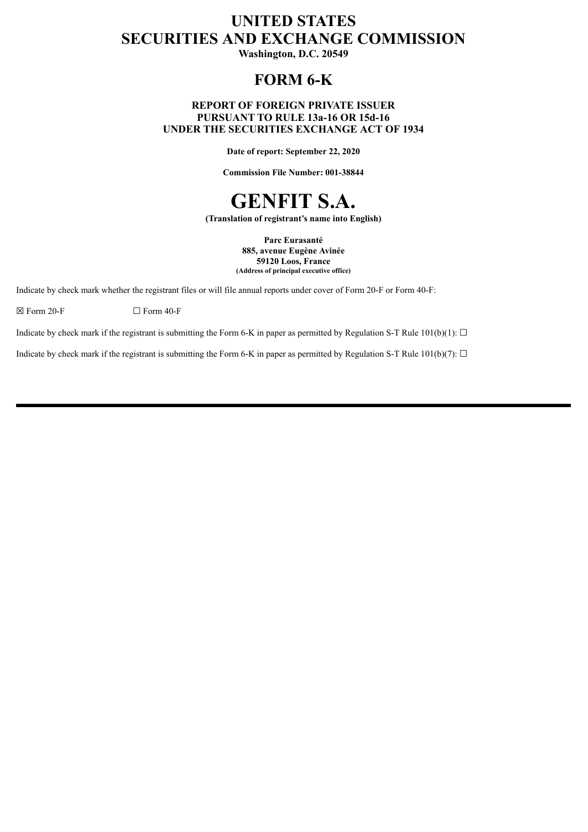# **UNITED STATES SECURITIES AND EXCHANGE COMMISSION**

**Washington, D.C. 20549**

## **FORM 6-K**

#### **REPORT OF FOREIGN PRIVATE ISSUER PURSUANT TO RULE 13a-16 OR 15d-16 UNDER THE SECURITIES EXCHANGE ACT OF 1934**

**Date of report: September 22, 2020**

**Commission File Number: 001-38844**



**(Translation of registrant's name into English)**

**Parc Eurasanté 885, avenue Eugène Avinée 59120 Loos, France (Address of principal executive office)**

Indicate by check mark whether the registrant files or will file annual reports under cover of Form 20-F or Form 40-F:

 $\boxtimes$  Form 20-F  $\Box$  Form 40-F

Indicate by check mark if the registrant is submitting the Form 6-K in paper as permitted by Regulation S-T Rule 101(b)(1):  $\Box$ 

Indicate by check mark if the registrant is submitting the Form 6-K in paper as permitted by Regulation S-T Rule 101(b)(7):  $\Box$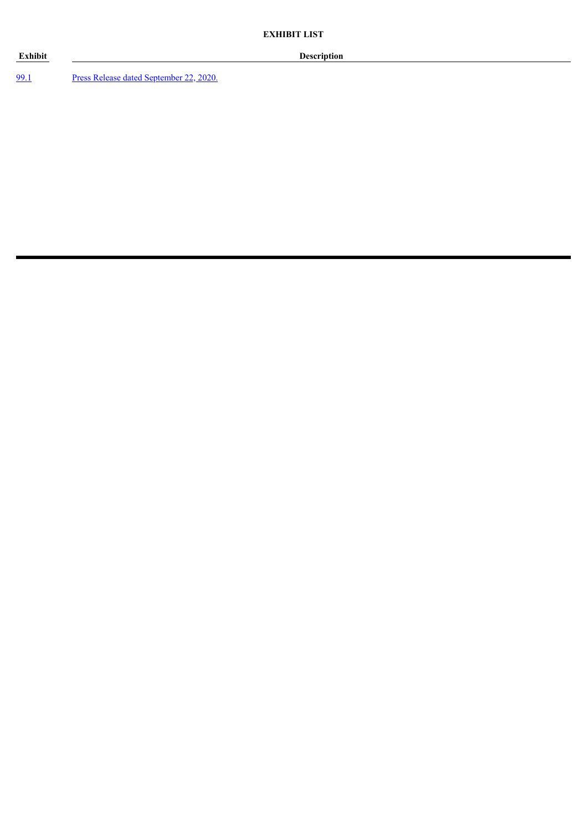#### **Exhibit Description**

[99.1](#page-3-0) Press Release dated [September](#page-3-0) 22, 2020.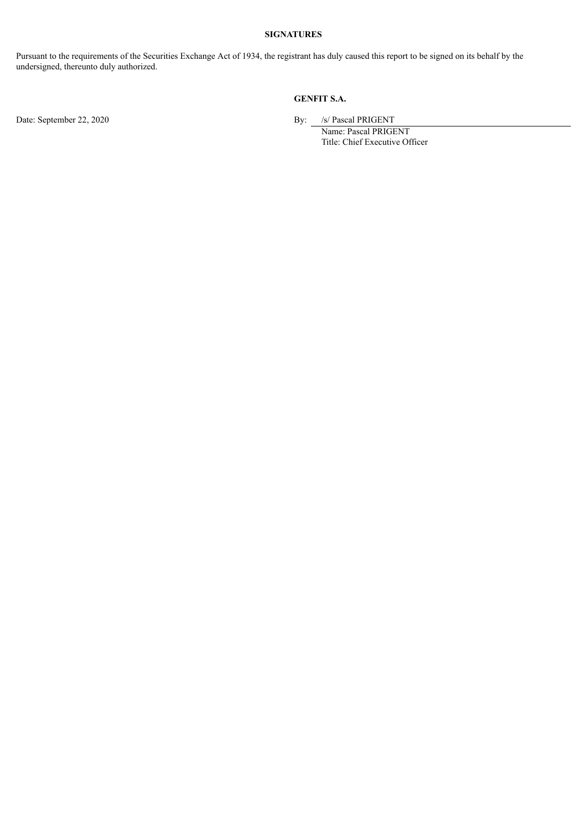## **SIGNATURES**

Pursuant to the requirements of the Securities Exchange Act of 1934, the registrant has duly caused this report to be signed on its behalf by the undersigned, thereunto duly authorized.

### **GENFIT S.A.**

Date: September 22, 2020 By: /s/ Pascal PRIGENT

Name: Pascal PRIGENT Title: Chief Executive Officer